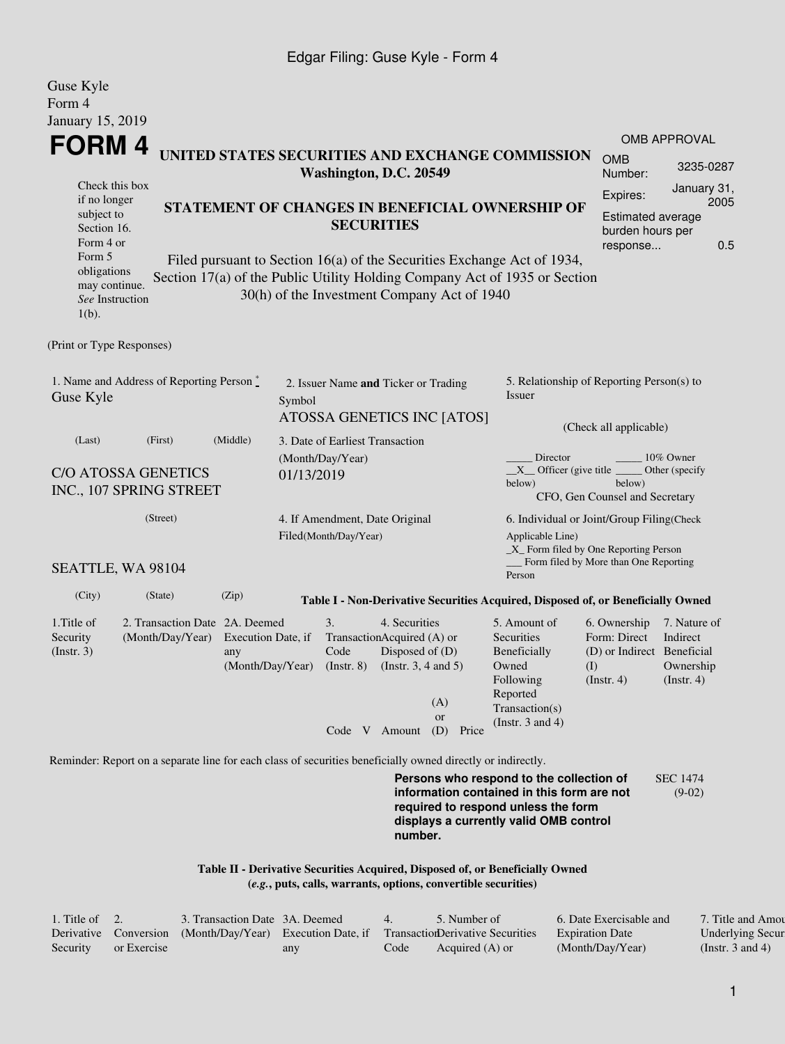#### Edgar Filing: Guse Kyle - Form 4

| Guse Kyle<br>Form 4                                                                                                                               |                                                                                                             |                                                                                                                                                                                                                                                                              |            |                                                         |                                                                                                             |                                  |                                                                                                                                                                         |                                                                                                                                                        |                                                           |  |
|---------------------------------------------------------------------------------------------------------------------------------------------------|-------------------------------------------------------------------------------------------------------------|------------------------------------------------------------------------------------------------------------------------------------------------------------------------------------------------------------------------------------------------------------------------------|------------|---------------------------------------------------------|-------------------------------------------------------------------------------------------------------------|----------------------------------|-------------------------------------------------------------------------------------------------------------------------------------------------------------------------|--------------------------------------------------------------------------------------------------------------------------------------------------------|-----------------------------------------------------------|--|
| January 15, 2019                                                                                                                                  |                                                                                                             |                                                                                                                                                                                                                                                                              |            |                                                         |                                                                                                             |                                  |                                                                                                                                                                         |                                                                                                                                                        |                                                           |  |
|                                                                                                                                                   |                                                                                                             |                                                                                                                                                                                                                                                                              |            |                                                         |                                                                                                             |                                  |                                                                                                                                                                         |                                                                                                                                                        | <b>OMB APPROVAL</b>                                       |  |
| FORM 4<br>UNITED STATES SECURITIES AND EXCHANGE COMMISSION<br>Washington, D.C. 20549                                                              |                                                                                                             |                                                                                                                                                                                                                                                                              |            |                                                         |                                                                                                             |                                  |                                                                                                                                                                         |                                                                                                                                                        | 3235-0287                                                 |  |
| Check this box<br>if no longer<br>subject to<br>Section 16.<br>Form 4 or<br>Form 5<br>obligations<br>may continue.<br>See Instruction<br>$1(b)$ . |                                                                                                             | STATEMENT OF CHANGES IN BENEFICIAL OWNERSHIP OF<br><b>SECURITIES</b><br>Filed pursuant to Section 16(a) of the Securities Exchange Act of 1934,<br>Section 17(a) of the Public Utility Holding Company Act of 1935 or Section<br>30(h) of the Investment Company Act of 1940 |            |                                                         |                                                                                                             |                                  |                                                                                                                                                                         |                                                                                                                                                        |                                                           |  |
| (Print or Type Responses)                                                                                                                         |                                                                                                             |                                                                                                                                                                                                                                                                              |            |                                                         |                                                                                                             |                                  |                                                                                                                                                                         |                                                                                                                                                        |                                                           |  |
| 1. Name and Address of Reporting Person $*$<br>Guse Kyle                                                                                          |                                                                                                             |                                                                                                                                                                                                                                                                              | Symbol     | 2. Issuer Name and Ticker or Trading                    |                                                                                                             | ATOSSA GENETICS INC [ATOS]       | 5. Relationship of Reporting Person(s) to<br>Issuer                                                                                                                     |                                                                                                                                                        |                                                           |  |
| (Middle)<br>(Last)<br>(First)<br><b>C/O ATOSSA GENETICS</b><br>INC., 107 SPRING STREET                                                            |                                                                                                             |                                                                                                                                                                                                                                                                              | 01/13/2019 | 3. Date of Earliest Transaction<br>(Month/Day/Year)     |                                                                                                             |                                  | Director<br>below)                                                                                                                                                      | (Check all applicable)<br>10% Owner<br>$X$ Officer (give title $\overline{\phantom{a}}$<br>Other (specify)<br>below)<br>CFO, Gen Counsel and Secretary |                                                           |  |
| (Street)                                                                                                                                          |                                                                                                             |                                                                                                                                                                                                                                                                              |            | 4. If Amendment, Date Original<br>Filed(Month/Day/Year) |                                                                                                             |                                  | Applicable Line)                                                                                                                                                        | 6. Individual or Joint/Group Filing(Check<br>_X_ Form filed by One Reporting Person<br>Form filed by More than One Reporting                           |                                                           |  |
|                                                                                                                                                   | SEATTLE, WA 98104                                                                                           |                                                                                                                                                                                                                                                                              |            |                                                         |                                                                                                             |                                  | Person                                                                                                                                                                  |                                                                                                                                                        |                                                           |  |
| (City)                                                                                                                                            | (State)                                                                                                     | (Zip)                                                                                                                                                                                                                                                                        |            |                                                         |                                                                                                             |                                  | Table I - Non-Derivative Securities Acquired, Disposed of, or Beneficially Owned                                                                                        |                                                                                                                                                        |                                                           |  |
| 1. Title of<br>Security<br>(Insert. 3)                                                                                                            | 2. Transaction Date 2A. Deemed<br>(Month/Day/Year)                                                          | Execution Date, if<br>any<br>(Month/Day/Year)                                                                                                                                                                                                                                |            | 3.<br>Code<br>$($ Instr. 8 $)$                          | 4. Securities<br>TransactionAcquired (A) or<br>Disposed of (D)<br>(Instr. $3, 4$ and $5$ )<br>Code V Amount | (A)<br><b>or</b><br>(D)<br>Price | 5. Amount of<br>Securities<br>Beneficially<br>Owned<br>Following<br>Reported<br>Transaction(s)<br>(Instr. $3$ and $4$ )                                                 | 6. Ownership<br>Form: Direct<br>(D) or Indirect Beneficial<br>(I)<br>(Insert. 4)                                                                       | 7. Nature of<br>Indirect<br>Ownership<br>$($ Instr. 4 $)$ |  |
|                                                                                                                                                   | Reminder: Report on a separate line for each class of securities beneficially owned directly or indirectly. |                                                                                                                                                                                                                                                                              |            |                                                         |                                                                                                             |                                  |                                                                                                                                                                         |                                                                                                                                                        |                                                           |  |
|                                                                                                                                                   |                                                                                                             |                                                                                                                                                                                                                                                                              |            |                                                         |                                                                                                             |                                  | Persons who respond to the collection of<br>information contained in this form are not<br>required to respond unless the form<br>displays a currently valid OMB control |                                                                                                                                                        | <b>SEC 1474</b><br>$(9-02)$                               |  |

**Table II - Derivative Securities Acquired, Disposed of, or Beneficially Owned (***e.g.***, puts, calls, warrants, options, convertible securities)**

| . Title of $\quad 2.$ |             | 3. Transaction Date 3A. Deemed                            |     |      | 5. Number of                     | 6. Date Exercisable and | 7. Title and Amou       |
|-----------------------|-------------|-----------------------------------------------------------|-----|------|----------------------------------|-------------------------|-------------------------|
|                       |             | Derivative Conversion (Month/Day/Year) Execution Date, if |     |      | TransactionDerivative Securities | <b>Expiration Date</b>  | <b>Underlying Secur</b> |
| Security              | or Exercise |                                                           | any | Code | Acquired (A) or                  | (Month/Day/Year)        | (Instr. 3 and 4)        |

**number.**